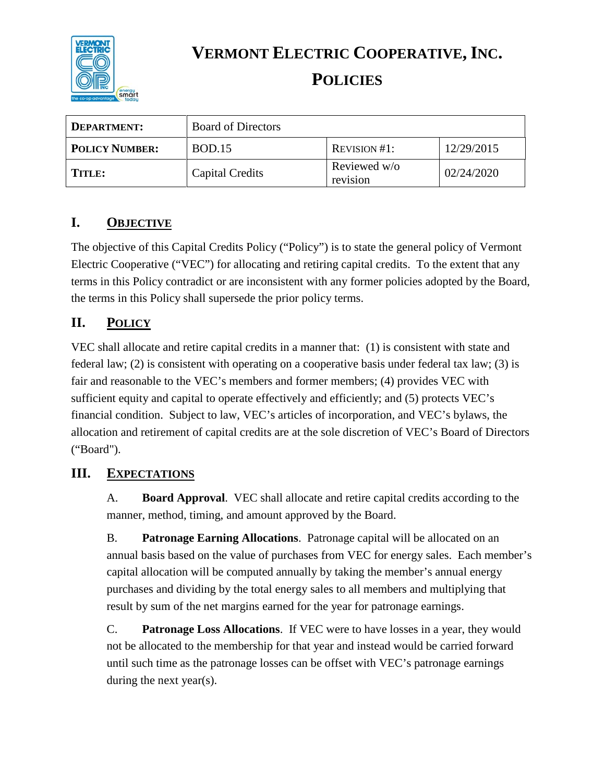

**VERMONT ELECTRIC COOPERATIVE, INC.**

# **POLICIES**

| DEPARTMENT:           | <b>Board of Directors</b> |                          |            |
|-----------------------|---------------------------|--------------------------|------------|
| <b>POLICY NUMBER:</b> | <b>BOD.15</b>             | REVISION #1:             | 12/29/2015 |
| <b>TITLE:</b>         | Capital Credits           | Reviewed w/o<br>revision | 02/24/2020 |

## **I. OBJECTIVE**

The objective of this Capital Credits Policy ("Policy") is to state the general policy of Vermont Electric Cooperative ("VEC") for allocating and retiring capital credits. To the extent that any terms in this Policy contradict or are inconsistent with any former policies adopted by the Board, the terms in this Policy shall supersede the prior policy terms.

### **II. POLICY**

VEC shall allocate and retire capital credits in a manner that: (1) is consistent with state and federal law; (2) is consistent with operating on a cooperative basis under federal tax law; (3) is fair and reasonable to the VEC's members and former members; (4) provides VEC with sufficient equity and capital to operate effectively and efficiently; and (5) protects VEC's financial condition. Subject to law, VEC's articles of incorporation, and VEC's bylaws, the allocation and retirement of capital credits are at the sole discretion of VEC's Board of Directors ("Board").

### **III. EXPECTATIONS**

A. **Board Approval**. VEC shall allocate and retire capital credits according to the manner, method, timing, and amount approved by the Board.

B. **Patronage Earning Allocations**. Patronage capital will be allocated on an annual basis based on the value of purchases from VEC for energy sales. Each member's capital allocation will be computed annually by taking the member's annual energy purchases and dividing by the total energy sales to all members and multiplying that result by sum of the net margins earned for the year for patronage earnings.

C. **Patronage Loss Allocations**. If VEC were to have losses in a year, they would not be allocated to the membership for that year and instead would be carried forward until such time as the patronage losses can be offset with VEC's patronage earnings during the next year(s).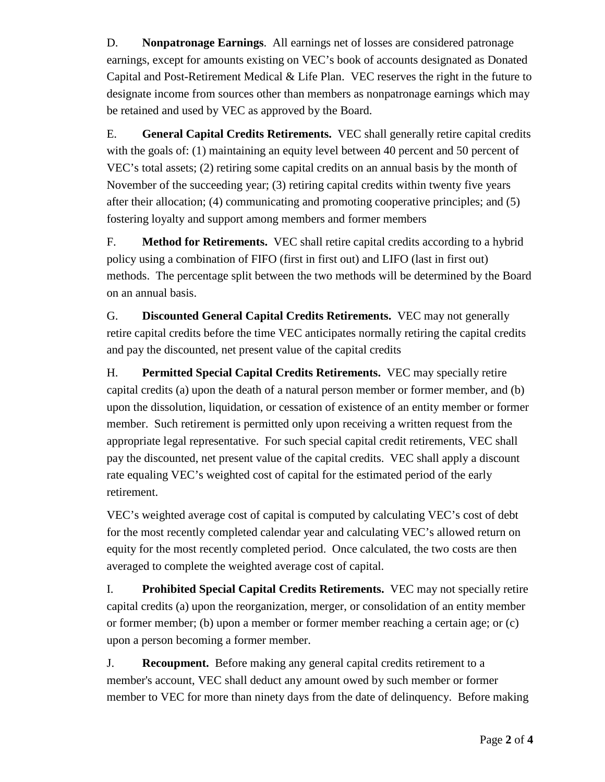D. **Nonpatronage Earnings**. All earnings net of losses are considered patronage earnings, except for amounts existing on VEC's book of accounts designated as Donated Capital and Post-Retirement Medical & Life Plan. VEC reserves the right in the future to designate income from sources other than members as nonpatronage earnings which may be retained and used by VEC as approved by the Board.

E. **General Capital Credits Retirements.** VEC shall generally retire capital credits with the goals of: (1) maintaining an equity level between 40 percent and 50 percent of VEC's total assets; (2) retiring some capital credits on an annual basis by the month of November of the succeeding year; (3) retiring capital credits within twenty five years after their allocation; (4) communicating and promoting cooperative principles; and (5) fostering loyalty and support among members and former members

F. **Method for Retirements.** VEC shall retire capital credits according to a hybrid policy using a combination of FIFO (first in first out) and LIFO (last in first out) methods. The percentage split between the two methods will be determined by the Board on an annual basis.

G. **Discounted General Capital Credits Retirements.** VEC may not generally retire capital credits before the time VEC anticipates normally retiring the capital credits and pay the discounted, net present value of the capital credits

H. **Permitted Special Capital Credits Retirements.** VEC may specially retire capital credits (a) upon the death of a natural person member or former member, and (b) upon the dissolution, liquidation, or cessation of existence of an entity member or former member. Such retirement is permitted only upon receiving a written request from the appropriate legal representative. For such special capital credit retirements, VEC shall pay the discounted, net present value of the capital credits. VEC shall apply a discount rate equaling VEC's weighted cost of capital for the estimated period of the early retirement.

VEC's weighted average cost of capital is computed by calculating VEC's cost of debt for the most recently completed calendar year and calculating VEC's allowed return on equity for the most recently completed period. Once calculated, the two costs are then averaged to complete the weighted average cost of capital.

I. **Prohibited Special Capital Credits Retirements.** VEC may not specially retire capital credits (a) upon the reorganization, merger, or consolidation of an entity member or former member; (b) upon a member or former member reaching a certain age; or (c) upon a person becoming a former member.

J. **Recoupment.** Before making any general capital credits retirement to a member's account, VEC shall deduct any amount owed by such member or former member to VEC for more than ninety days from the date of delinquency. Before making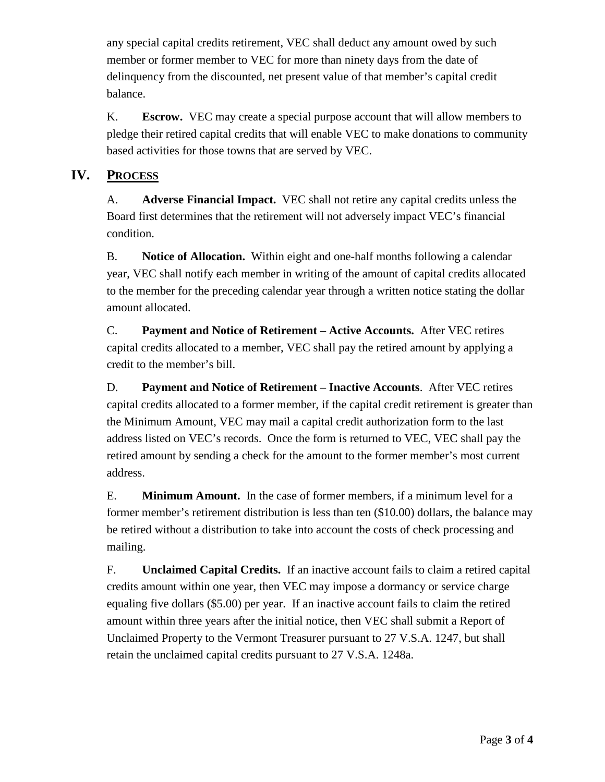any special capital credits retirement, VEC shall deduct any amount owed by such member or former member to VEC for more than ninety days from the date of delinquency from the discounted, net present value of that member's capital credit balance.

K. **Escrow.** VEC may create a special purpose account that will allow members to pledge their retired capital credits that will enable VEC to make donations to community based activities for those towns that are served by VEC.

#### **IV. PROCESS**

A. **Adverse Financial Impact.** VEC shall not retire any capital credits unless the Board first determines that the retirement will not adversely impact VEC's financial condition.

B. **Notice of Allocation.** Within eight and one-half months following a calendar year, VEC shall notify each member in writing of the amount of capital credits allocated to the member for the preceding calendar year through a written notice stating the dollar amount allocated.

C. **Payment and Notice of Retirement – Active Accounts.** After VEC retires capital credits allocated to a member, VEC shall pay the retired amount by applying a credit to the member's bill.

D. **Payment and Notice of Retirement – Inactive Accounts**. After VEC retires capital credits allocated to a former member, if the capital credit retirement is greater than the Minimum Amount, VEC may mail a capital credit authorization form to the last address listed on VEC's records. Once the form is returned to VEC, VEC shall pay the retired amount by sending a check for the amount to the former member's most current address.

E. **Minimum Amount.** In the case of former members, if a minimum level for a former member's retirement distribution is less than ten (\$10.00) dollars, the balance may be retired without a distribution to take into account the costs of check processing and mailing.

F. **Unclaimed Capital Credits.** If an inactive account fails to claim a retired capital credits amount within one year, then VEC may impose a dormancy or service charge equaling five dollars (\$5.00) per year. If an inactive account fails to claim the retired amount within three years after the initial notice, then VEC shall submit a Report of Unclaimed Property to the Vermont Treasurer pursuant to 27 V.S.A. 1247, but shall retain the unclaimed capital credits pursuant to 27 V.S.A. 1248a.